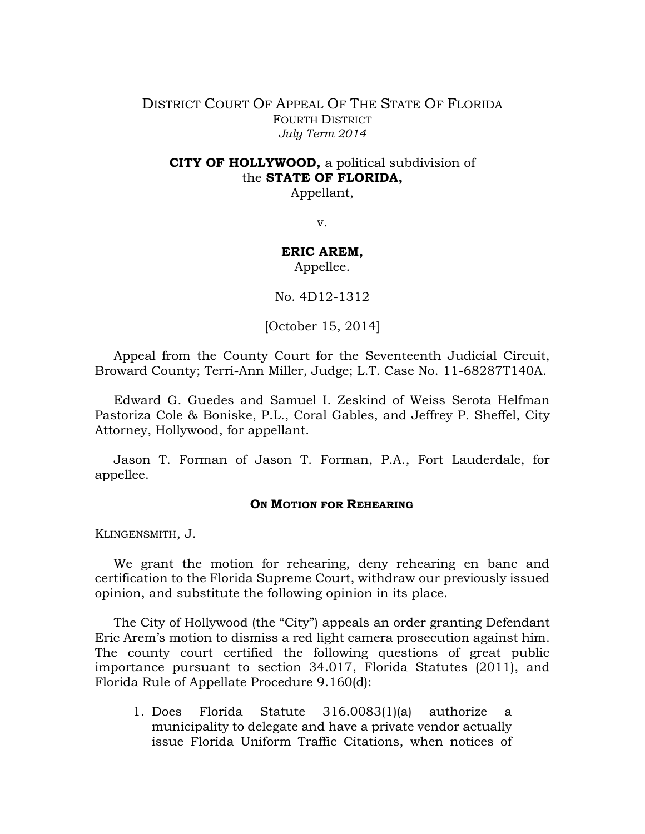## DISTRICT COURT OF APPEAL OF THE STATE OF FLORIDA FOURTH DISTRICT *July Term 2014*

# **CITY OF HOLLYWOOD,** a political subdivision of the **STATE OF FLORIDA,**

Appellant,

v.

## **ERIC AREM,**

Appellee.

No. 4D12-1312

[October 15, 2014]

Appeal from the County Court for the Seventeenth Judicial Circuit, Broward County; Terri-Ann Miller, Judge; L.T. Case No. 11-68287T140A.

Edward G. Guedes and Samuel I. Zeskind of Weiss Serota Helfman Pastoriza Cole & Boniske, P.L., Coral Gables, and Jeffrey P. Sheffel, City Attorney, Hollywood, for appellant.

Jason T. Forman of Jason T. Forman, P.A., Fort Lauderdale, for appellee.

### **ON MOTION FOR REHEARING**

KLINGENSMITH, J.

We grant the motion for rehearing, deny rehearing en banc and certification to the Florida Supreme Court, withdraw our previously issued opinion, and substitute the following opinion in its place.

The City of Hollywood (the "City") appeals an order granting Defendant Eric Arem's motion to dismiss a red light camera prosecution against him. The county court certified the following questions of great public importance pursuant to section 34.017, Florida Statutes (2011), and Florida Rule of Appellate Procedure 9.160(d):

1. Does Florida Statute 316.0083(1)(a) authorize a municipality to delegate and have a private vendor actually issue Florida Uniform Traffic Citations, when notices of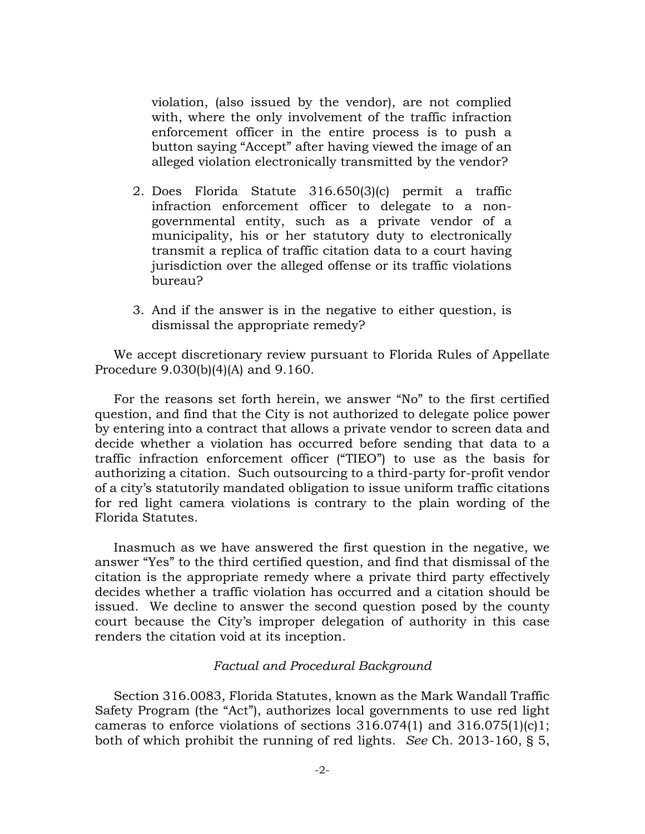violation, (also issued by the vendor), are not complied with, where the only involvement of the traffic infraction enforcement officer in the entire process is to push a button saying "Accept" after having viewed the image of an alleged violation electronically transmitted by the vendor?

- 2. Does Florida Statute 316.650(3)(c) permit a traffic infraction enforcement officer to delegate to a nongovernmental entity, such as a private vendor of a municipality, his or her statutory duty to electronically transmit a replica of traffic citation data to a court having jurisdiction over the alleged offense or its traffic violations bureau?
- 3. And if the answer is in the negative to either question, is dismissal the appropriate remedy?

We accept discretionary review pursuant to Florida Rules of Appellate Procedure 9.030(b)(4)(A) and 9.160.

For the reasons set forth herein, we answer "No" to the first certified question, and find that the City is not authorized to delegate police power by entering into a contract that allows a private vendor to screen data and decide whether a violation has occurred before sending that data to a traffic infraction enforcement officer ("TIEO") to use as the basis for authorizing a citation. Such outsourcing to a third-party for-profit vendor of a city's statutorily mandated obligation to issue uniform traffic citations for red light camera violations is contrary to the plain wording of the Florida Statutes.

Inasmuch as we have answered the first question in the negative, we answer "Yes" to the third certified question, and find that dismissal of the citation is the appropriate remedy where a private third party effectively decides whether a traffic violation has occurred and a citation should be issued. We decline to answer the second question posed by the county court because the City's improper delegation of authority in this case renders the citation void at its inception.

### *Factual and Procedural Background*

Section 316.0083, Florida Statutes, known as the Mark Wandall Traffic Safety Program (the "Act"), authorizes local governments to use red light cameras to enforce violations of sections  $316.074(1)$  and  $316.075(1)(c)1$ ; both of which prohibit the running of red lights. *See* Ch. 2013-160, § 5,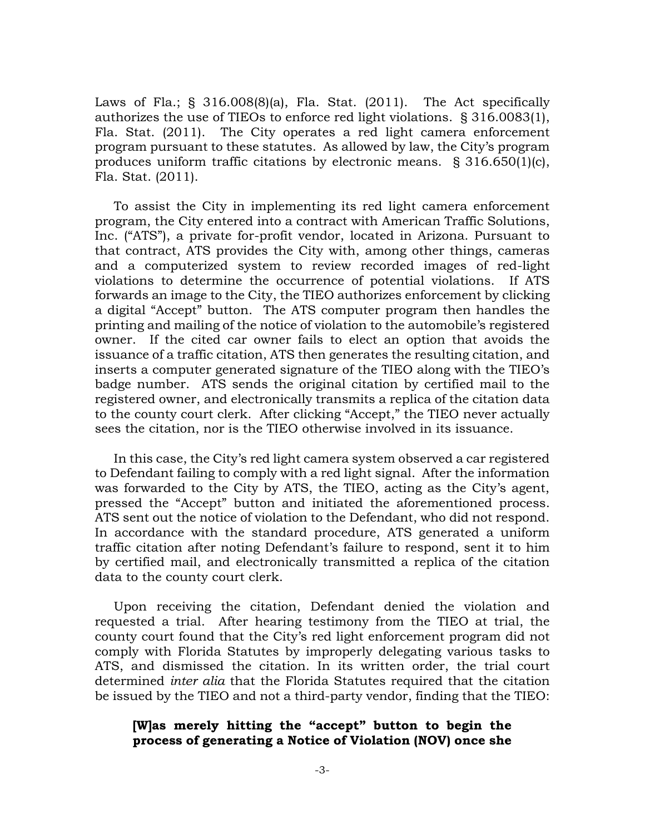Laws of Fla.; § 316.008(8)(a), Fla. Stat. (2011). The Act specifically authorizes the use of TIEOs to enforce red light violations. § 316.0083(1), Fla. Stat. (2011). The City operates a red light camera enforcement program pursuant to these statutes. As allowed by law, the City's program produces uniform traffic citations by electronic means. § 316.650(1)(c), Fla. Stat. (2011).

To assist the City in implementing its red light camera enforcement program, the City entered into a contract with American Traffic Solutions, Inc. ("ATS"), a private for-profit vendor, located in Arizona. Pursuant to that contract, ATS provides the City with, among other things, cameras and a computerized system to review recorded images of red-light violations to determine the occurrence of potential violations. If ATS forwards an image to the City, the TIEO authorizes enforcement by clicking a digital "Accept" button. The ATS computer program then handles the printing and mailing of the notice of violation to the automobile's registered owner. If the cited car owner fails to elect an option that avoids the issuance of a traffic citation, ATS then generates the resulting citation, and inserts a computer generated signature of the TIEO along with the TIEO's badge number. ATS sends the original citation by certified mail to the registered owner, and electronically transmits a replica of the citation data to the county court clerk. After clicking "Accept," the TIEO never actually sees the citation, nor is the TIEO otherwise involved in its issuance.

In this case, the City's red light camera system observed a car registered to Defendant failing to comply with a red light signal. After the information was forwarded to the City by ATS, the TIEO, acting as the City's agent, pressed the "Accept" button and initiated the aforementioned process. ATS sent out the notice of violation to the Defendant, who did not respond. In accordance with the standard procedure, ATS generated a uniform traffic citation after noting Defendant's failure to respond, sent it to him by certified mail, and electronically transmitted a replica of the citation data to the county court clerk.

Upon receiving the citation, Defendant denied the violation and requested a trial. After hearing testimony from the TIEO at trial, the county court found that the City's red light enforcement program did not comply with Florida Statutes by improperly delegating various tasks to ATS, and dismissed the citation. In its written order, the trial court determined *inter alia* that the Florida Statutes required that the citation be issued by the TIEO and not a third-party vendor, finding that the TIEO:

# **[W]as merely hitting the "accept" button to begin the process of generating a Notice of Violation (NOV) once she**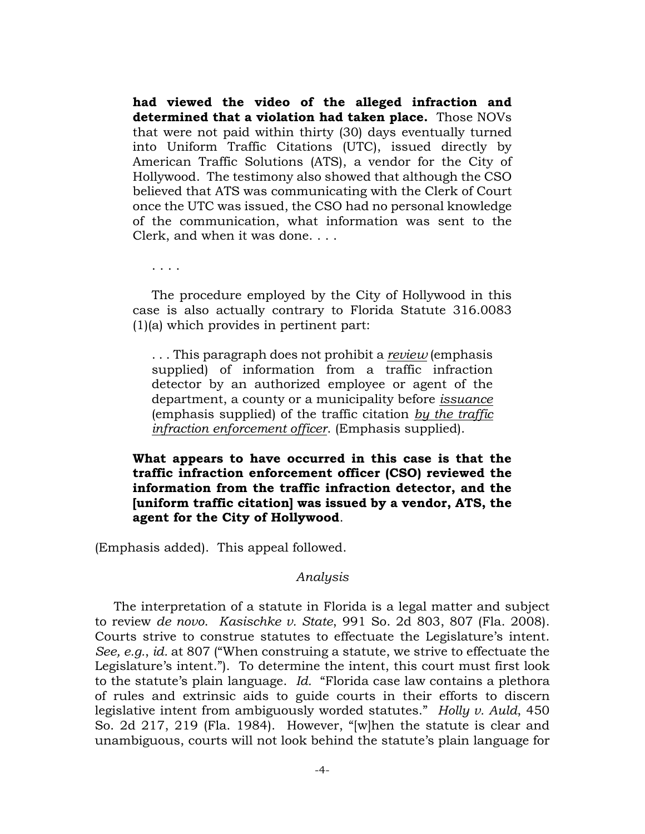**had viewed the video of the alleged infraction and determined that a violation had taken place.** Those NOVs that were not paid within thirty (30) days eventually turned into Uniform Traffic Citations (UTC), issued directly by American Traffic Solutions (ATS), a vendor for the City of Hollywood. The testimony also showed that although the CSO believed that ATS was communicating with the Clerk of Court once the UTC was issued, the CSO had no personal knowledge of the communication, what information was sent to the Clerk, and when it was done. . . .

. . . .

The procedure employed by the City of Hollywood in this case is also actually contrary to Florida Statute 316.0083 (1)(a) which provides in pertinent part:

. . . This paragraph does not prohibit a *review* (emphasis supplied) of information from a traffic infraction detector by an authorized employee or agent of the department, a county or a municipality before *issuance* (emphasis supplied) of the traffic citation *by the traffic infraction enforcement officer*. (Emphasis supplied).

**What appears to have occurred in this case is that the traffic infraction enforcement officer (CSO) reviewed the information from the traffic infraction detector, and the [uniform traffic citation] was issued by a vendor, ATS, the agent for the City of Hollywood**.

(Emphasis added). This appeal followed.

#### *Analysis*

The interpretation of a statute in Florida is a legal matter and subject to review *de novo*. *Kasischke v. State*, 991 So. 2d 803, 807 (Fla. 2008). Courts strive to construe statutes to effectuate the Legislature's intent. *See, e.g.*, *id.* at 807 ("When construing a statute, we strive to effectuate the Legislature's intent."). To determine the intent, this court must first look to the statute's plain language. *Id.* "Florida case law contains a plethora of rules and extrinsic aids to guide courts in their efforts to discern legislative intent from ambiguously worded statutes." *Holly v. Auld*, 450 So. 2d 217, 219 (Fla. 1984). However, "[w]hen the statute is clear and unambiguous, courts will not look behind the statute's plain language for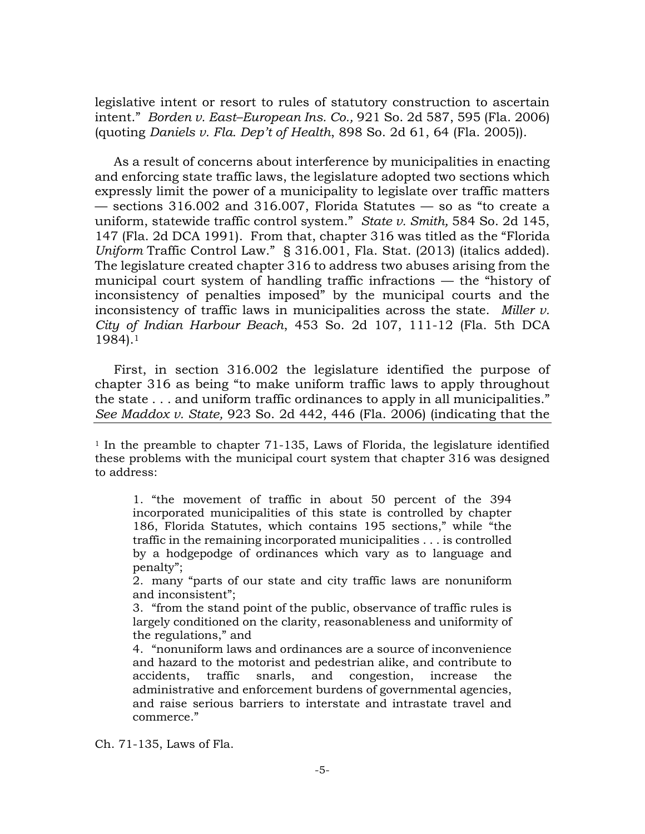legislative intent or resort to rules of statutory construction to ascertain intent." *Borden v. East–European Ins. Co.,* 921 So. 2d 587, 595 (Fla. 2006) (quoting *Daniels v. Fla. Dep't of Health*, 898 So. 2d 61, 64 (Fla. 2005)).

As a result of concerns about interference by municipalities in enacting and enforcing state traffic laws, the legislature adopted two sections which expressly limit the power of a municipality to legislate over traffic matters — sections 316.002 and 316.007, Florida Statutes — so as "to create a uniform, statewide traffic control system." *State v. Smith,* 584 So. 2d 145, 147 (Fla. 2d DCA 1991). From that, chapter 316 was titled as the "Florida *Uniform* Traffic Control Law." § 316.001, Fla. Stat. (2013) (italics added). The legislature created chapter 316 to address two abuses arising from the municipal court system of handling traffic infractions — the "history of inconsistency of penalties imposed" by the municipal courts and the inconsistency of traffic laws in municipalities across the state. *Miller v. City of Indian Harbour Beach*, 453 So. 2d 107, 111-12 (Fla. 5th DCA 1984).<sup>1</sup>

First, in section 316.002 the legislature identified the purpose of chapter 316 as being "to make uniform traffic laws to apply throughout the state . . . and uniform traffic ordinances to apply in all municipalities." *See Maddox v. State,* 923 So. 2d 442, 446 (Fla. 2006) (indicating that the

<sup>1</sup> In the preamble to chapter 71-135, Laws of Florida, the legislature identified these problems with the municipal court system that chapter 316 was designed to address:

1. "the movement of traffic in about 50 percent of the 394 incorporated municipalities of this state is controlled by chapter 186, Florida Statutes, which contains 195 sections," while "the traffic in the remaining incorporated municipalities . . . is controlled by a hodgepodge of ordinances which vary as to language and penalty";

2. many "parts of our state and city traffic laws are nonuniform and inconsistent";

3. "from the stand point of the public, observance of traffic rules is largely conditioned on the clarity, reasonableness and uniformity of the regulations," and

4. "nonuniform laws and ordinances are a source of inconvenience and hazard to the motorist and pedestrian alike, and contribute to accidents, traffic snarls, and congestion, increase the administrative and enforcement burdens of governmental agencies, and raise serious barriers to interstate and intrastate travel and commerce."

Ch. 71-135, Laws of Fla.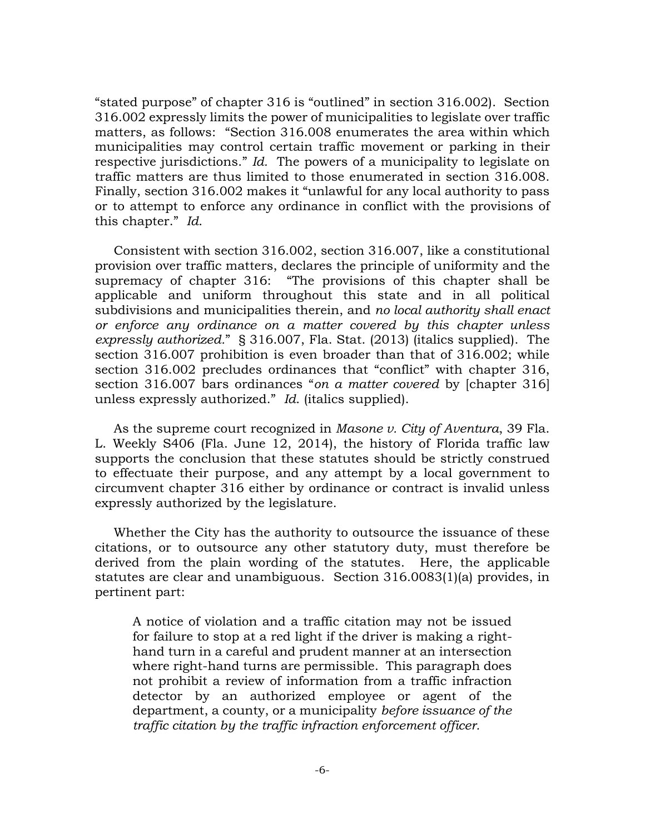"stated purpose" of chapter 316 is "outlined" in section 316.002). Section 316.002 expressly limits the power of municipalities to legislate over traffic matters, as follows: "Section 316.008 enumerates the area within which municipalities may control certain traffic movement or parking in their respective jurisdictions." *Id.* The powers of a municipality to legislate on traffic matters are thus limited to those enumerated in section 316.008. Finally, section 316.002 makes it "unlawful for any local authority to pass or to attempt to enforce any ordinance in conflict with the provisions of this chapter." *Id*.

Consistent with section 316.002, section 316.007, like a constitutional provision over traffic matters, declares the principle of uniformity and the supremacy of chapter 316: "The provisions of this chapter shall be applicable and uniform throughout this state and in all political subdivisions and municipalities therein, and *no local authority shall enact or enforce any ordinance on a matter covered by this chapter unless expressly authorized.*" § 316.007, Fla. Stat. (2013) (italics supplied). The section 316.007 prohibition is even broader than that of 316.002; while section 316.002 precludes ordinances that "conflict" with chapter 316, section 316.007 bars ordinances "*on a matter covered* by [chapter 316] unless expressly authorized." *Id*. (italics supplied).

As the supreme court recognized in *Masone v. City of Aventura*, 39 Fla. L. Weekly S406 (Fla. June 12, 2014), the history of Florida traffic law supports the conclusion that these statutes should be strictly construed to effectuate their purpose, and any attempt by a local government to circumvent chapter 316 either by ordinance or contract is invalid unless expressly authorized by the legislature.

Whether the City has the authority to outsource the issuance of these citations, or to outsource any other statutory duty, must therefore be derived from the plain wording of the statutes. Here, the applicable statutes are clear and unambiguous. Section 316.0083(1)(a) provides, in pertinent part:

A notice of violation and a traffic citation may not be issued for failure to stop at a red light if the driver is making a righthand turn in a careful and prudent manner at an intersection where right-hand turns are permissible. This paragraph does not prohibit a review of information from a traffic infraction detector by an authorized employee or agent of the department, a county, or a municipality *before issuance of the traffic citation by the traffic infraction enforcement officer.*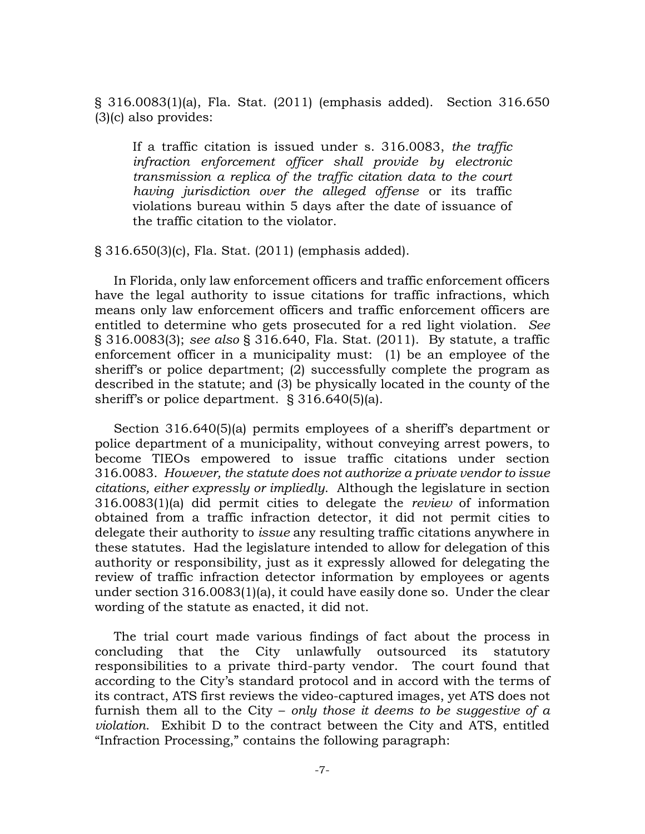§ 316.0083(1)(a), Fla. Stat. (2011) (emphasis added). Section 316.650 (3)(c) also provides:

If a traffic citation is issued under s. 316.0083, *the traffic infraction enforcement officer shall provide by electronic transmission a replica of the traffic citation data to the court having jurisdiction over the alleged offense* or its traffic violations bureau within 5 days after the date of issuance of the traffic citation to the violator.

§ 316.650(3)(c), Fla. Stat. (2011) (emphasis added).

In Florida, only law enforcement officers and traffic enforcement officers have the legal authority to issue citations for traffic infractions, which means only law enforcement officers and traffic enforcement officers are entitled to determine who gets prosecuted for a red light violation. *See*  § 316.0083(3); *see also* § 316.640, Fla. Stat. (2011). By statute, a traffic enforcement officer in a municipality must: (1) be an employee of the sheriff's or police department; (2) successfully complete the program as described in the statute; and (3) be physically located in the county of the sheriff's or police department. § 316.640(5)(a).

Section 316.640(5)(a) permits employees of a sheriff's department or police department of a municipality, without conveying arrest powers, to become TIEOs empowered to issue traffic citations under section 316.0083. *However, the statute does not authorize a private vendor to issue citations, either expressly or impliedly*. Although the legislature in section 316.0083(1)(a) did permit cities to delegate the *review* of information obtained from a traffic infraction detector, it did not permit cities to delegate their authority to *issue* any resulting traffic citations anywhere in these statutes. Had the legislature intended to allow for delegation of this authority or responsibility, just as it expressly allowed for delegating the review of traffic infraction detector information by employees or agents under section 316.0083(1)(a), it could have easily done so. Under the clear wording of the statute as enacted, it did not.

The trial court made various findings of fact about the process in concluding that the City unlawfully outsourced its statutory responsibilities to a private third-party vendor. The court found that according to the City's standard protocol and in accord with the terms of its contract, ATS first reviews the video-captured images, yet ATS does not furnish them all to the City – *only those it deems to be suggestive of a violation*. Exhibit D to the contract between the City and ATS, entitled "Infraction Processing," contains the following paragraph: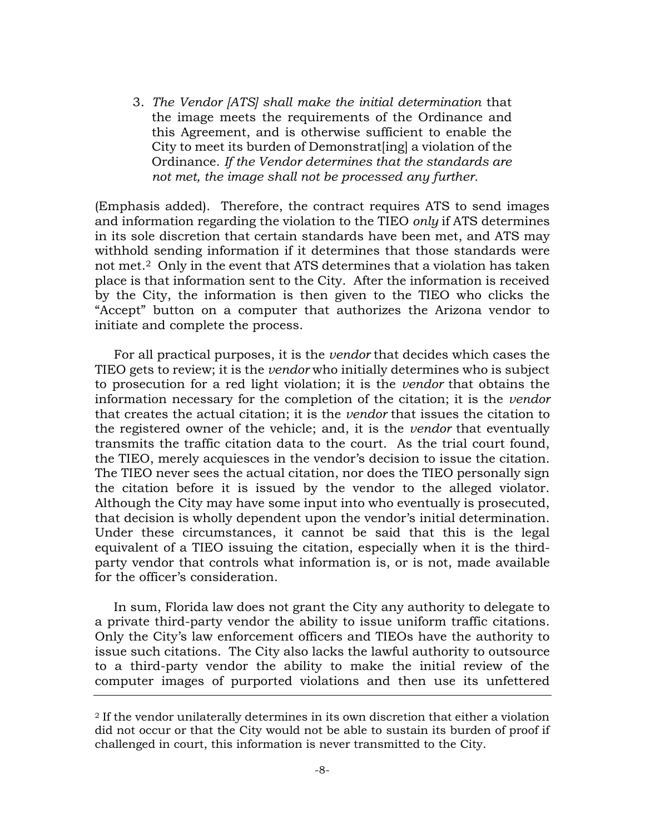3. *The Vendor [ATS] shall make the initial determination* that the image meets the requirements of the Ordinance and this Agreement, and is otherwise sufficient to enable the City to meet its burden of Demonstrat[ing] a violation of the Ordinance. *If the Vendor determines that the standards are not met, the image shall not be processed any further.* 

(Emphasis added). Therefore, the contract requires ATS to send images and information regarding the violation to the TIEO *only* if ATS determines in its sole discretion that certain standards have been met, and ATS may withhold sending information if it determines that those standards were not met.2 Only in the event that ATS determines that a violation has taken place is that information sent to the City. After the information is received by the City, the information is then given to the TIEO who clicks the "Accept" button on a computer that authorizes the Arizona vendor to initiate and complete the process.

For all practical purposes, it is the *vendor* that decides which cases the TIEO gets to review; it is the *vendor* who initially determines who is subject to prosecution for a red light violation; it is the *vendor* that obtains the information necessary for the completion of the citation; it is the *vendor*  that creates the actual citation; it is the *vendor* that issues the citation to the registered owner of the vehicle; and, it is the *vendor* that eventually transmits the traffic citation data to the court. As the trial court found, the TIEO, merely acquiesces in the vendor's decision to issue the citation. The TIEO never sees the actual citation, nor does the TIEO personally sign the citation before it is issued by the vendor to the alleged violator. Although the City may have some input into who eventually is prosecuted, that decision is wholly dependent upon the vendor's initial determination. Under these circumstances, it cannot be said that this is the legal equivalent of a TIEO issuing the citation, especially when it is the thirdparty vendor that controls what information is, or is not, made available for the officer's consideration.

In sum, Florida law does not grant the City any authority to delegate to a private third-party vendor the ability to issue uniform traffic citations. Only the City's law enforcement officers and TIEOs have the authority to issue such citations. The City also lacks the lawful authority to outsource to a third-party vendor the ability to make the initial review of the computer images of purported violations and then use its unfettered

<sup>2</sup> If the vendor unilaterally determines in its own discretion that either a violation did not occur or that the City would not be able to sustain its burden of proof if challenged in court, this information is never transmitted to the City.